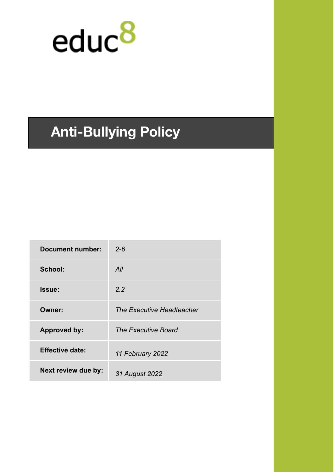

# **Anti-Bullying Policy**

| <b>Document number:</b> | $2 - 6$                    |
|-------------------------|----------------------------|
| School:                 | All                        |
| Issue:                  | 2.2                        |
| Owner:                  | The Executive Headteacher  |
| <b>Approved by:</b>     | <b>The Executive Board</b> |
| <b>Effective date:</b>  | 11 February 2022           |
| Next review due by:     | 31 August 2022             |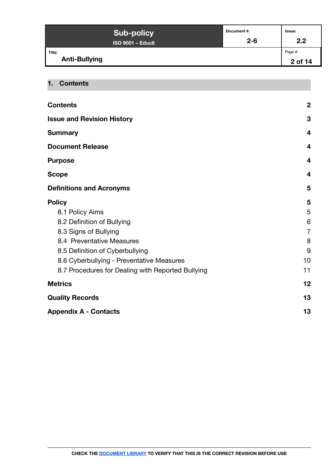| <b>Sub-policy</b>              | Document #: | <b>Issue:</b>      |
|--------------------------------|-------------|--------------------|
| <b>ISO 9001 - Educ8</b>        | $2 - 6$     | 2.2                |
| Title:<br><b>Anti-Bullying</b> |             | Page #:<br>2 of 14 |

#### <span id="page-1-0"></span>**1. Contents**

| <b>Contents</b>                                   | $\boldsymbol{2}$ |
|---------------------------------------------------|------------------|
| <b>Issue and Revision History</b>                 | 3                |
| <b>Summary</b>                                    | $\boldsymbol{4}$ |
| <b>Document Release</b>                           | 4                |
| <b>Purpose</b>                                    | 4                |
| <b>Scope</b>                                      | 4                |
| <b>Definitions and Acronyms</b>                   | 5                |
| <b>Policy</b>                                     | 5                |
| 8.1 Policy Aims                                   | 5                |
| 8.2 Definition of Bullying                        | 6                |
| 8.3 Signs of Bullying                             | $\overline{7}$   |
| 8.4 Preventative Measures                         | 8                |
| 8.5 Definition of Cyberbullying                   | 9                |
| 8.6 Cyberbullying - Preventative Measures         | 10               |
| 8.7 Procedures for Dealing with Reported Bullying | 11               |
| <b>Metrics</b>                                    | 12               |
| <b>Quality Records</b>                            | 13               |
| <b>Appendix A - Contacts</b>                      | 13               |
|                                                   |                  |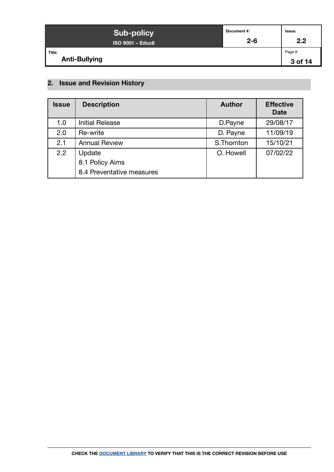| <b>Sub-policy</b>              | Document #: | Issue:             |
|--------------------------------|-------------|--------------------|
| <b>ISO 9001 - Educ8</b>        | $2 - 6$     | 2.2                |
| Title:<br><b>Anti-Bullying</b> |             | Page #:<br>3 of 14 |

# <span id="page-2-0"></span>**2. Issue and Revision History**

| <b>Issue</b> | <b>Description</b>        | <b>Author</b> | <b>Effective</b><br><b>Date</b> |
|--------------|---------------------------|---------------|---------------------------------|
| 1.0          | <b>Initial Release</b>    | D.Payne       | 29/08/17                        |
| 2.0          | Re-write                  | D. Payne      | 11/09/19                        |
| 2.1          | <b>Annual Review</b>      | S.Thornton    | 15/10/21                        |
| 2.2          | Update                    | O. Howell     | 07/02/22                        |
|              | 8.1 Policy Aims           |               |                                 |
|              | 8.4 Preventative measures |               |                                 |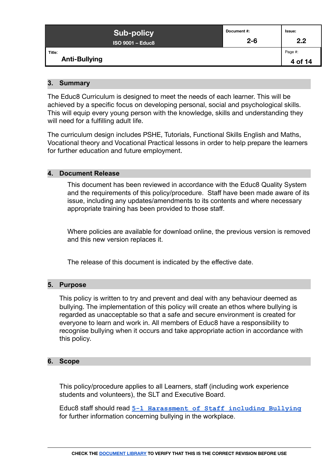| <b>Sub-policy</b>              | Document #: | Issue:             |
|--------------------------------|-------------|--------------------|
| <b>ISO 9001 - Educ8</b>        | $2 - 6$     | 2.2                |
| Title:<br><b>Anti-Bullying</b> |             | Page #:<br>4 of 14 |

#### <span id="page-3-0"></span>**3. Summary**

The Educ8 Curriculum is designed to meet the needs of each learner. This will be achieved by a specific focus on developing personal, social and psychological skills. This will equip every young person with the knowledge, skills and understanding they will need for a fulfilling adult life.

The curriculum design includes PSHE, Tutorials, Functional Skills English and Maths, Vocational theory and Vocational Practical lessons in order to help prepare the learners for further education and future employment.

#### <span id="page-3-1"></span>**4. Document Release**

This document has been reviewed in accordance with the Educ8 Quality System and the requirements of this policy/procedure. Staff have been made aware of its issue, including any updates/amendments to its contents and where necessary appropriate training has been provided to those staff.

Where policies are available for download online, the previous version is removed and this new version replaces it.

The release of this document is indicated by the effective date.

#### <span id="page-3-2"></span>**5. Purpose**

This policy is written to try and prevent and deal with any behaviour deemed as bullying. The implementation of this policy will create an ethos where bullying is regarded as unacceptable so that a safe and secure environment is created for everyone to learn and work in. All members of Educ8 have a responsibility to recognise bullying when it occurs and take appropriate action in accordance with this policy.

#### <span id="page-3-3"></span>**6. Scope**

This policy/procedure applies to all Learners, staff (including work experience students and volunteers), the SLT and Executive Board.

Educ8 staff should read **[5-1 Harassment of Staff including](https://docs.google.com/document/d/1pwskuuKM-Lb7q8QgXC3u7KUZn3EoW8IxIt9JlfTw7Dk/edit) Bullying** for further information concerning bullying in the workplace.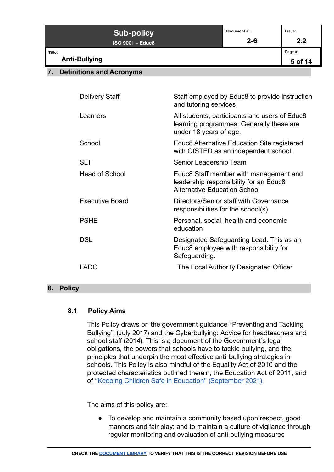| <b>Sub-policy</b><br><b>ISO 9001 - Educ8</b> | Document #:<br>$2 - 6$ | Issue:<br>2.2      |
|----------------------------------------------|------------------------|--------------------|
| Title:<br><b>Anti-Bullying</b>               |                        | Page #:<br>5 of 14 |
|                                              |                        |                    |

#### <span id="page-4-0"></span>**7. Definitions and Acronyms**

| <b>Delivery Staff</b>  | Staff employed by Educ8 to provide instruction<br>and tutoring services                                                 |
|------------------------|-------------------------------------------------------------------------------------------------------------------------|
| Learners               | All students, participants and users of Educ8<br>learning programmes. Generally these are<br>under 18 years of age.     |
| School                 | Educ8 Alternative Education Site registered<br>with OfSTED as an independent school.                                    |
| <b>SLT</b>             | Senior Leadership Team                                                                                                  |
| Head of School         | Educ8 Staff member with management and<br>leadership responsibility for an Educ8<br><b>Alternative Education School</b> |
| <b>Executive Board</b> | Directors/Senior staff with Governance<br>responsibilities for the school(s)                                            |
| <b>PSHE</b>            | Personal, social, health and economic<br>education                                                                      |
| DSL.                   | Designated Safeguarding Lead. This as an<br>Educ8 employee with responsibility for<br>Safeguarding.                     |
| I ADO                  | The Local Authority Designated Officer                                                                                  |
|                        |                                                                                                                         |

#### <span id="page-4-1"></span>**8. Policy**

#### <span id="page-4-2"></span>**8.1 Policy Aims**

This Policy draws on the government guidance "Preventing and Tackling Bullying", (July 2017) and the Cyberbullying: Advice for headteachers and school staff (2014). This is a document of the Government's legal obligations, the powers that schools have to tackle bullying, and the principles that underpin the most effective anti-bullying strategies in schools. This Policy is also mindful of the Equality Act of 2010 and the protected characteristics outlined therein, the Education Act of 2011, and of ["Keeping Children Safe in Education" \(September](https://www.gov.uk/government/publications/keeping-children-safe-in-education--2) 2021)

The aims of this policy are:

• To develop and maintain a community based upon respect, good manners and fair play; and to maintain a culture of vigilance through regular monitoring and evaluation of anti-bullying measures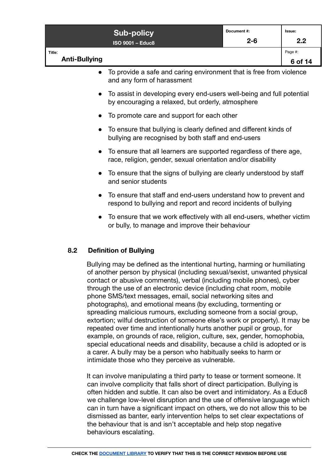|                                | <b>Sub-policy</b><br><b>ISO 9001 - Educ8</b>                                                                                        | Document #:<br>$2 - 6$ | Issue:<br>2.2      |
|--------------------------------|-------------------------------------------------------------------------------------------------------------------------------------|------------------------|--------------------|
| Title:<br><b>Anti-Bullying</b> |                                                                                                                                     |                        | Page #:<br>6 of 14 |
| $\bullet$                      | To provide a safe and caring environment that is free from violence<br>and any form of harassment                                   |                        |                    |
|                                | To assist in developing every end-users well-being and full potential<br>by encouraging a relaxed, but orderly, atmosphere          |                        |                    |
|                                | To promote care and support for each other                                                                                          |                        |                    |
|                                | To ensure that bullying is clearly defined and different kinds of<br>bullying are recognised by both staff and end-users            |                        |                    |
|                                | To ensure that all learners are supported regardless of there age,<br>race, religion, gender, sexual orientation and/or disability  |                        |                    |
|                                | To ensure that the signs of bullying are clearly understood by staff<br>and senior students                                         |                        |                    |
|                                | To ensure that staff and end-users understand how to prevent and<br>respond to bullying and report and record incidents of bullying |                        |                    |
| $\bullet$                      | To ensure that we work effectively with all end-users, whether victim<br>or bully, to manage and improve their behaviour            |                        |                    |

#### <span id="page-5-0"></span>**8.2 Definition of Bullying**

Bullying may be defined as the intentional hurting, harming or humiliating of another person by physical (including sexual/sexist, unwanted physical contact or abusive comments), verbal (including mobile phones), cyber through the use of an electronic device (including chat room, mobile phone SMS/text messages, email, social networking sites and photographs), and emotional means (by excluding, tormenting or spreading malicious rumours, excluding someone from a social group, extortion; wilful destruction of someone else's work or property). It may be repeated over time and intentionally hurts another pupil or group, for example, on grounds of race, religion, culture, sex, gender, homophobia, special educational needs and disability, because a child is adopted or is a carer. A bully may be a person who habitually seeks to harm or intimidate those who they perceive as vulnerable.

It can involve manipulating a third party to tease or torment someone. It can involve complicity that falls short of direct participation. Bullying is often hidden and subtle. It can also be overt and intimidatory. As a Educ8 we challenge low-level disruption and the use of offensive language which can in turn have a significant impact on others, we do not allow this to be dismissed as banter, early intervention helps to set clear expectations of the behaviour that is and isn't acceptable and help stop negative behaviours escalating.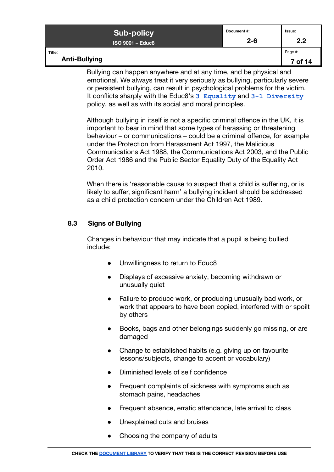| <b>Sub-policy</b>              | Document#: | <b>Issue:</b>      |
|--------------------------------|------------|--------------------|
| <b>ISO 9001 - Educ8</b>        | $2 - 6$    | 2.2                |
| Title:<br><b>Anti-Bullying</b> |            | Page #:<br>7 of 14 |

Bullying can happen anywhere and at any time, and be physical and emotional. We always treat it very seriously as bullying, particularly severe or persistent bullying, can result in psychological problems for the victim. It conflicts sharply with the Educ8's **[3 Equality](https://docs.google.com/document/d/1Q4W0hBw-4ncleQ1RCMhjJGu0Ri7RwXsV4omTMNZ4EXY/edit#)** and **[3-1 Diversity](https://docs.google.com/document/d/1-MLCsTWo6pGJ_BZ0s4lE_RXCpSWvMEcu235v5aBB5mA/edit#)** policy, as well as with its social and moral principles.

Although bullying in itself is not a specific criminal offence in the UK, it is important to bear in mind that some types of harassing or threatening behaviour – or communications – could be a criminal offence, for example under the Protection from Harassment Act 1997, the Malicious Communications Act 1988, the Communications Act 2003, and the Public Order Act 1986 and the Public Sector Equality Duty of the Equality Act 2010.

When there is 'reasonable cause to suspect that a child is suffering, or is likely to suffer, significant harm' a bullying incident should be addressed as a child protection concern under the Children Act 1989.

#### <span id="page-6-0"></span>**8.3 Signs of Bullying**

Changes in behaviour that may indicate that a pupil is being bullied include:

- Unwillingness to return to Educ8
- Displays of excessive anxiety, becoming withdrawn or unusually quiet
- Failure to produce work, or producing unusually bad work, or work that appears to have been copied, interfered with or spoilt by others
- Books, bags and other belongings suddenly go missing, or are damaged
- Change to established habits (e.g. giving up on favourite lessons/subjects, change to accent or vocabulary)
- Diminished levels of self confidence
- Frequent complaints of sickness with symptoms such as stomach pains, headaches
- Frequent absence, erratic attendance, late arrival to class
- Unexplained cuts and bruises
- Choosing the company of adults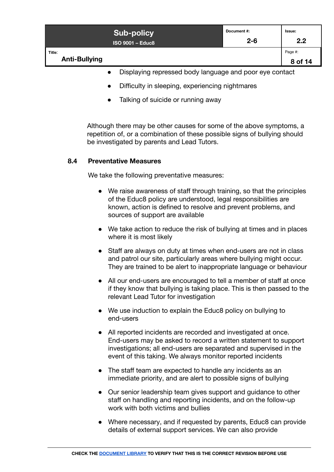|                                | <b>Sub-policy</b><br><b>ISO 9001 - Educ8</b> | Document #:<br>$2 - 6$ | <b>Issue:</b><br>2.2 |
|--------------------------------|----------------------------------------------|------------------------|----------------------|
| Title:<br><b>Anti-Bullying</b> |                                              |                        | Page #:<br>8 of 14   |
|                                |                                              |                        |                      |

- Displaying repressed body language and poor eye contact
- Difficulty in sleeping, experiencing nightmares
- Talking of suicide or running away

Although there may be other causes for some of the above symptoms, a repetition of, or a combination of these possible signs of bullying should be investigated by parents and Lead Tutors.

#### <span id="page-7-0"></span>**8.4 Preventative Measures**

We take the following preventative measures:

- We raise awareness of staff through training, so that the principles of the Educ8 policy are understood, legal responsibilities are known, action is defined to resolve and prevent problems, and sources of support are available
- We take action to reduce the risk of bullying at times and in places where it is most likely
- Staff are always on duty at times when end-users are not in class and patrol our site, particularly areas where bullying might occur. They are trained to be alert to inappropriate language or behaviour
- All our end-users are encouraged to tell a member of staff at once if they know that bullying is taking place. This is then passed to the relevant Lead Tutor for investigation
- We use induction to explain the Educ8 policy on bullying to end-users
- All reported incidents are recorded and investigated at once. End-users may be asked to record a written statement to support investigations; all end-users are separated and supervised in the event of this taking. We always monitor reported incidents
- The staff team are expected to handle any incidents as an immediate priority, and are alert to possible signs of bullying
- Our senior leadership team gives support and guidance to other staff on handling and reporting incidents, and on the follow-up work with both victims and bullies
- Where necessary, and if requested by parents, Educ8 can provide details of external support services. We can also provide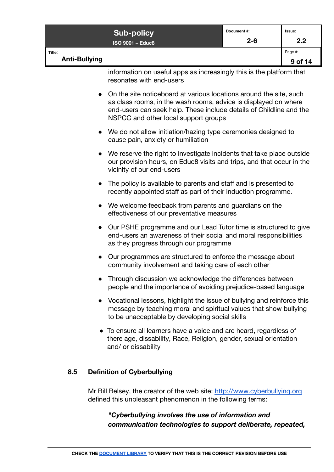|                                | <b>Sub-policy</b><br><b>ISO 9001 - Educ8</b>                                                                                                                                                                                                         | Document #:<br>$2 - 6$ | Issue:<br>2.2      |
|--------------------------------|------------------------------------------------------------------------------------------------------------------------------------------------------------------------------------------------------------------------------------------------------|------------------------|--------------------|
| Title:<br><b>Anti-Bullying</b> |                                                                                                                                                                                                                                                      |                        | Page #:<br>9 of 14 |
|                                | information on useful apps as increasingly this is the platform that<br>resonates with end-users                                                                                                                                                     |                        |                    |
|                                | On the site noticeboard at various locations around the site, such<br>as class rooms, in the wash rooms, advice is displayed on where<br>end-users can seek help. These include details of Childline and the<br>NSPCC and other local support groups |                        |                    |
|                                | • We do not allow initiation/hazing type ceremonies designed to<br>cause pain, anxiety or humiliation                                                                                                                                                |                        |                    |
|                                | We reserve the right to investigate incidents that take place outside<br>our provision hours, on Educ8 visits and trips, and that occur in the<br>vicinity of our end-users                                                                          |                        |                    |
|                                | The policy is available to parents and staff and is presented to<br>recently appointed staff as part of their induction programme.                                                                                                                   |                        |                    |
|                                | We welcome feedback from parents and guardians on the<br>effectiveness of our preventative measures                                                                                                                                                  |                        |                    |
| $\bullet$                      | Our PSHE programme and our Lead Tutor time is structured to give<br>end-users an awareness of their social and moral responsibilities<br>as they progress through our programme                                                                      |                        |                    |
|                                | Our programmes are structured to enforce the message about<br>community involvement and taking care of each other                                                                                                                                    |                        |                    |
|                                | Through discussion we acknowledge the differences between<br>people and the importance of avoiding prejudice-based language                                                                                                                          |                        |                    |
|                                | Vocational lessons, highlight the issue of bullying and reinforce this<br>message by teaching moral and spiritual values that show bullying<br>to be unacceptable by developing social skills                                                        |                        |                    |
|                                | • To ensure all learners have a voice and are heard, regardless of<br>there age, dissability, Race, Religion, gender, sexual orientation<br>and/ or dissability                                                                                      |                        |                    |

## <span id="page-8-0"></span>**8.5 Definition of Cyberbullying**

Mr Bill Belsey, the creator of the web site: <http://www.cyberbullying.org> defined this unpleasant phenomenon in the following terms:

## *"Cyberbullying involves the use of information and communication technologies to support deliberate, repeated,*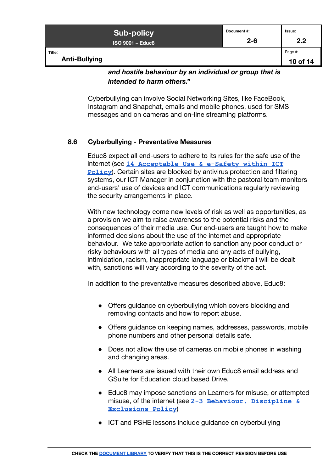| <b>Sub-policy</b>              | Document #: | lssue:              |
|--------------------------------|-------------|---------------------|
| <b>ISO 9001 - Educ8</b>        | $2 - 6$     | 2.2                 |
| Title:<br><b>Anti-Bullying</b> |             | Page #:<br>10 of 14 |

*and hostile behaviour by an individual or group that is intended to harm others."*

Cyberbullying can involve Social Networking Sites, like FaceBook, Instagram and Snapchat, emails and mobile phones, used for SMS messages and on cameras and on-line streaming platforms.

#### <span id="page-9-0"></span>**8.6 Cyberbullying - Preventative Measures**

Educ8 expect all end-users to adhere to its rules for the safe use of the internet (see **[14 Acceptable Use & e-Safety within](https://docs.google.com/document/d/1xlM0sjb8wJUWe5dz5pz_-ZE9FdC-isM6GPzjVFR_WzI/edit#) ICT [Policy](https://docs.google.com/document/d/1xlM0sjb8wJUWe5dz5pz_-ZE9FdC-isM6GPzjVFR_WzI/edit#)**). Certain sites are blocked by antivirus protection and filtering systems, our ICT Manager in conjunction with the pastoral team monitors end-users' use of devices and ICT communications regularly reviewing the security arrangements in place.

With new technology come new levels of risk as well as opportunities, as a provision we aim to raise awareness to the potential risks and the consequences of their media use. Our end-users are taught how to make informed decisions about the use of the internet and appropriate behaviour. We take appropriate action to sanction any poor conduct or risky behaviours with all types of media and any acts of bullying, intimidation, racism, inappropriate language or blackmail will be dealt with, sanctions will vary according to the severity of the act.

In addition to the preventative measures described above, Educ8:

- Offers guidance on cyberbullying which covers blocking and removing contacts and how to report abuse.
- Offers guidance on keeping names, addresses, passwords, mobile phone numbers and other personal details safe.
- Does not allow the use of cameras on mobile phones in washing and changing areas.
- All Learners are issued with their own Educ8 email address and GSuite for Education cloud based Drive.
- Educ8 may impose sanctions on Learners for misuse, or attempted misuse, of the internet (see **[2-3 Behaviour, Discipline](https://docs.google.com/document/d/1GeZccDQNv2Cnh19kuObfsseREYLRitiJISo1flObu8Q/edit) & [Exclusions Policy](https://docs.google.com/document/d/1GeZccDQNv2Cnh19kuObfsseREYLRitiJISo1flObu8Q/edit)**)
- ICT and PSHE lessons include guidance on cyberbullying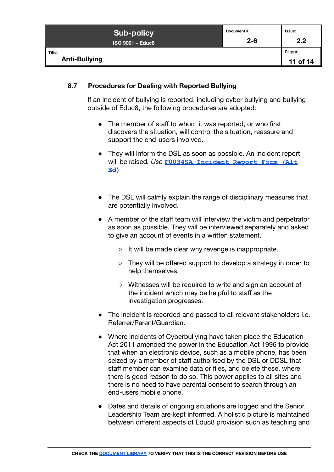|                                | <b>Sub-policy</b>       | Document #: | <b>Issue:</b>       |
|--------------------------------|-------------------------|-------------|---------------------|
|                                | <b>ISO 9001 - Educ8</b> | $2 - 6$     | 2.2                 |
| Title:<br><b>Anti-Bullying</b> |                         |             | Page #:<br>11 of 14 |

#### <span id="page-10-0"></span>**8.7 Procedures for Dealing with Reported Bullying**

If an incident of bullying is reported, including cyber bullying and bullying outside of Educ8, the following procedures are adopted:

- The member of staff to whom it was reported, or who first discovers the situation, will control the situation, reassure and support the end-users involved.
- They will inform the DSL as soon as possible. An Incident report will be raised*. Use* **[F0034SA Incident Report Form \(Alt](https://form.jotformeu.com/91903780331354) [Ed\)](https://form.jotformeu.com/91903780331354)**
- The DSL will calmly explain the range of disciplinary measures that are potentially involved.
- A member of the staff team will interview the victim and perpetrator as soon as possible. They will be interviewed separately and asked to give an account of events in a written statement.
	- It will be made clear why revenge is inappropriate.
	- They will be offered support to develop a strategy in order to help themselves.
	- Witnesses will be required to write and sign an account of the incident which may be helpful to staff as the investigation progresses.
- The incident is recorded and passed to all relevant stakeholders i.e. Referrer/Parent/Guardian.
- Where incidents of Cyberbullying have taken place the Education Act 2011 amended the power in the Education Act 1996 to provide that when an electronic device, such as a mobile phone, has been seized by a member of staff authorised by the DSL or DDSL that staff member can examine data or files, and delete these, where there is good reason to do so. This power applies to all sites and there is no need to have parental consent to search through an end-users mobile phone.
- Dates and details of ongoing situations are logged and the Senior Leadership Team are kept informed. A holistic picture is maintained between different aspects of Educ8 provision such as teaching and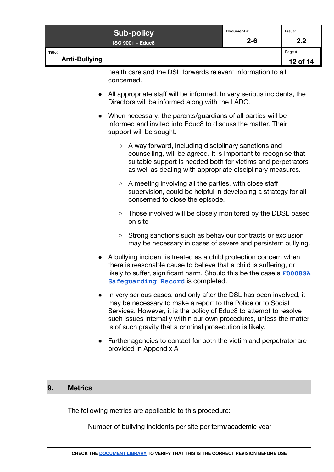|                                                                            | <b>Sub-policy</b><br><b>ISO 9001 - Educ8</b> | Document #:<br>$2 - 6$ | Issue:<br>2.2       |
|----------------------------------------------------------------------------|----------------------------------------------|------------------------|---------------------|
| Title:<br><b>Anti-Bullying</b>                                             |                                              |                        | Page #:<br>12 of 14 |
| health care and the DSL forwards relevant information to all<br>concerned. |                                              |                        |                     |

- All appropriate staff will be informed. In very serious incidents, the Directors will be informed along with the LADO.
- When necessary, the parents/guardians of all parties will be informed and invited into Educ8 to discuss the matter. Their support will be sought.
	- A way forward, including disciplinary sanctions and counselling, will be agreed. It is important to recognise that suitable support is needed both for victims and perpetrators as well as dealing with appropriate disciplinary measures.
	- A meeting involving all the parties, with close staff supervision, could be helpful in developing a strategy for all concerned to close the episode.
	- Those involved will be closely monitored by the DDSL based on site
	- Strong sanctions such as behaviour contracts or exclusion may be necessary in cases of severe and persistent bullying.
- A bullying incident is treated as a child protection concern when there is reasonable cause to believe that a child is suffering, or likely to suffer, significant harm. Should this be the case a **[F0008SA](https://docs.google.com/document/d/1v9iFzYnK2hDrD7u2xF0BxqbYM3eFcehF_GAcGo5tH9U/edit) [Safeguarding Record](https://docs.google.com/document/d/1v9iFzYnK2hDrD7u2xF0BxqbYM3eFcehF_GAcGo5tH9U/edit)** is completed.
- In very serious cases, and only after the DSL has been involved, it may be necessary to make a report to the Police or to Social Services. However, it is the policy of Educ8 to attempt to resolve such issues internally within our own procedures, unless the matter is of such gravity that a criminal prosecution is likely.
- Further agencies to contact for both the victim and perpetrator are provided in Appendix A

#### <span id="page-11-0"></span>**9. Metrics**

The following metrics are applicable to this procedure:

Number of bullying incidents per site per term/academic year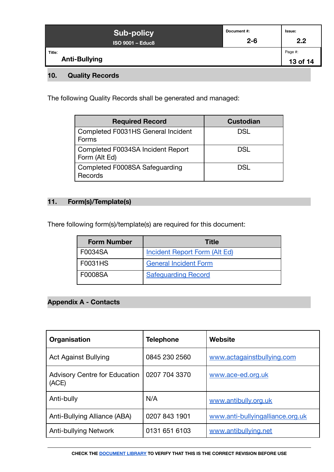| <b>Sub-policy</b>              | Document #: | Issue:              |
|--------------------------------|-------------|---------------------|
| <b>ISO 9001 - Educ8</b>        | $2 - 6$     | 2.2                 |
| Title:<br><b>Anti-Bullying</b> |             | Page #:<br>13 of 14 |

# <span id="page-12-0"></span>**10. Quality Records**

The following Quality Records shall be generated and managed:

| <b>Required Record</b>                             | <b>Custodian</b> |
|----------------------------------------------------|------------------|
| Completed F0031HS General Incident<br>Forms        | <b>DSL</b>       |
| Completed F0034SA Incident Report<br>Form (Alt Ed) | DSL              |
| Completed F0008SA Safeguarding<br>Records          | DSL.             |

## **11. Form(s)/Template(s)**

There following form(s)/template(s) are required for this document:

| <b>Form Number</b> | <b>Title</b>                         |
|--------------------|--------------------------------------|
| F0034SA            | <b>Incident Report Form (Alt Ed)</b> |
| F0031HS            | <b>General Incident Form</b>         |
| <b>F0008SA</b>     | <b>Safequarding Record</b>           |

# <span id="page-12-1"></span>**Appendix A - Contacts**

| Organisation                                  | <b>Telephone</b> | Website                          |
|-----------------------------------------------|------------------|----------------------------------|
| <b>Act Against Bullying</b>                   | 0845 230 2560    | www.actagainstbullying.com       |
| <b>Advisory Centre for Education</b><br>(ACE) | 0207 704 3370    | www.ace-ed.org.uk                |
| Anti-bully                                    | N/A              | www.antibully.org.uk             |
| Anti-Bullying Alliance (ABA)                  | 0207 843 1901    | www.anti-bullyingalliance.org.uk |
| Anti-bullying Network                         | 0131 651 6103    | www.antibullying.net             |